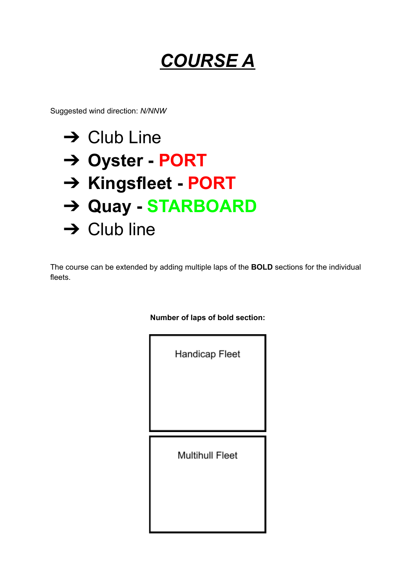## *COURSE A*

Suggested wind direction: *N/NNW*



The course can be extended by adding multiple laps of the **BOLD** sections for the individual fleets.

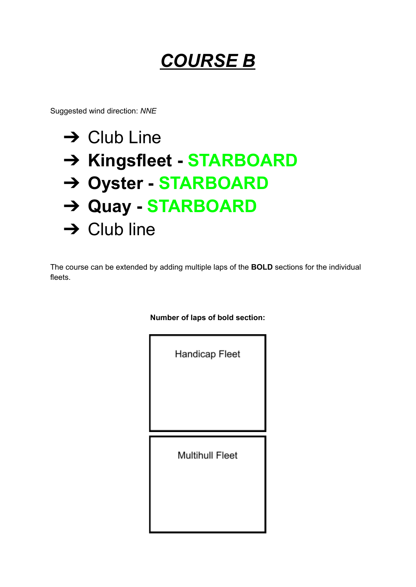### *COURSE B*

Suggested wind direction: *NNE*

# $\rightarrow$  Club Line ➔ **Kingsfleet - STARBOARD** ➔ **Oyster - STARBOARD** ➔ **Quay - STARBOARD**  $\rightarrow$  Club line

The course can be extended by adding multiple laps of the **BOLD** sections for the individual fleets.

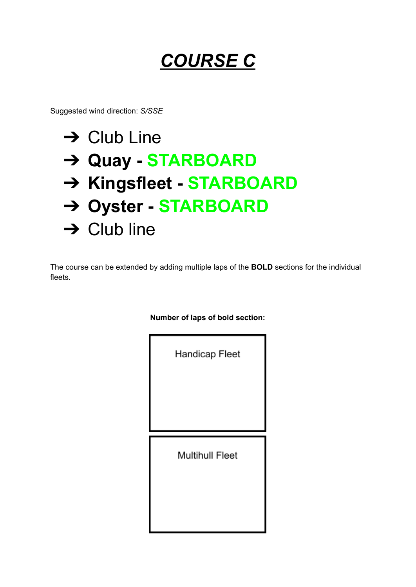## *COURSE C*

Suggested wind direction: *S/SSE*

## $\rightarrow$  Club Line ➔ **Quay - STARBOARD** ➔ **Kingsfleet - STARBOARD** ➔ **Oyster - STARBOARD**  $\rightarrow$  Club line

The course can be extended by adding multiple laps of the **BOLD** sections for the individual fleets.

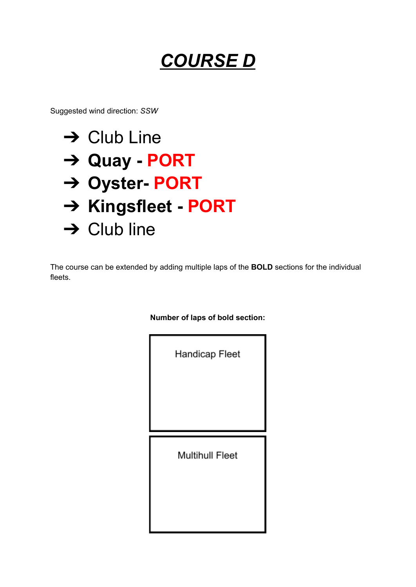### *COURSE D*

Suggested wind direction: *SSW*



The course can be extended by adding multiple laps of the **BOLD** sections for the individual fleets.

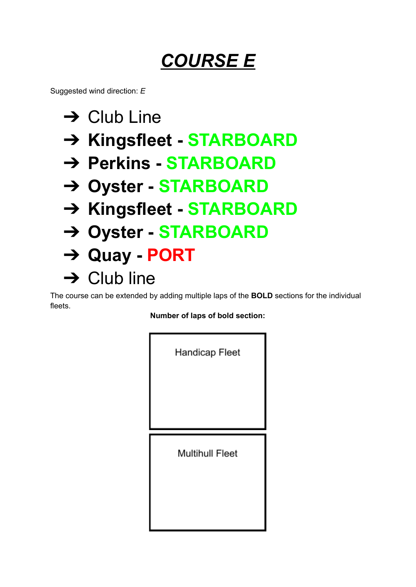### *COURSE E*

Suggested wind direction: *E*

- $\rightarrow$  Club Line
- ➔ **Kingsfleet - STARBOARD**
- ➔ **Perkins - STARBOARD**
- ➔ **Oyster - STARBOARD**
- ➔ **Kingsfleet - STARBOARD**
- ➔ **Oyster - STARBOARD**
- ➔ **Quay - PORT**
- $\rightarrow$  Club line

The course can be extended by adding multiple laps of the **BOLD** sections for the individual fleets.

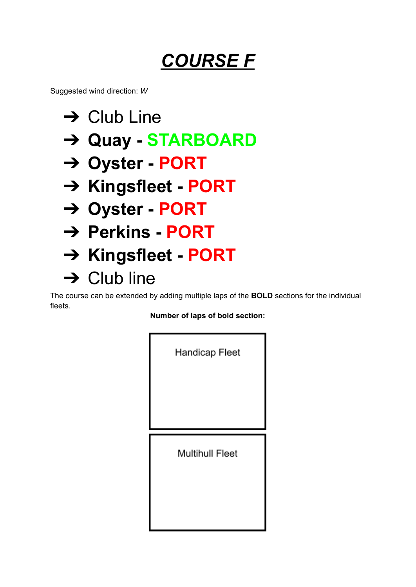## *COURSE F*

Suggested wind direction: *W*

- $\rightarrow$  Club Line
- ➔ **Quay - STARBOARD**
- ➔ **Oyster - PORT**
- ➔ **Kingsfleet - PORT**
- ➔ **Oyster - PORT**
- ➔ **Perkins - PORT**
- ➔ **Kingsfleet - PORT**
- $\rightarrow$  Club line

The course can be extended by adding multiple laps of the **BOLD** sections for the individual fleets.

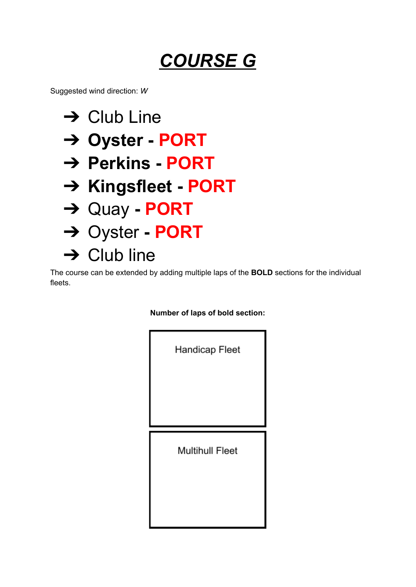### *COURSE G*

Suggested wind direction: *W*

- $\rightarrow$  Club Line
- ➔ **Oyster - PORT**
- ➔ **Perkins - PORT**
- ➔ **Kingsfleet - PORT**
- ➔ Quay **- PORT**
- ➔ Oyster **- PORT**
- $\rightarrow$  Club line

The course can be extended by adding multiple laps of the **BOLD** sections for the individual fleets.

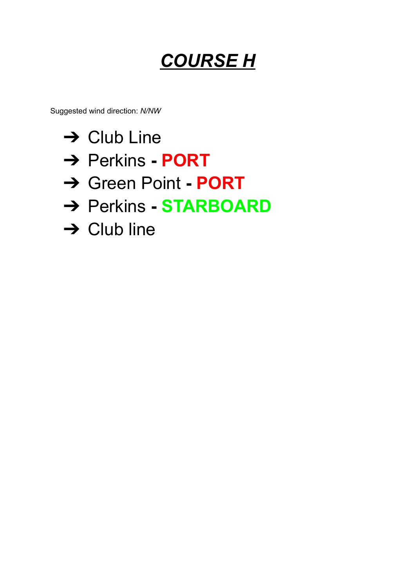## *COURSE H*

Suggested wind direction: *N/NW*

- $\rightarrow$  Club Line
- ➔ Perkins **- PORT**
- ➔ Green Point **- PORT**
- ➔ Perkins **- STARBOARD**
- $\rightarrow$  Club line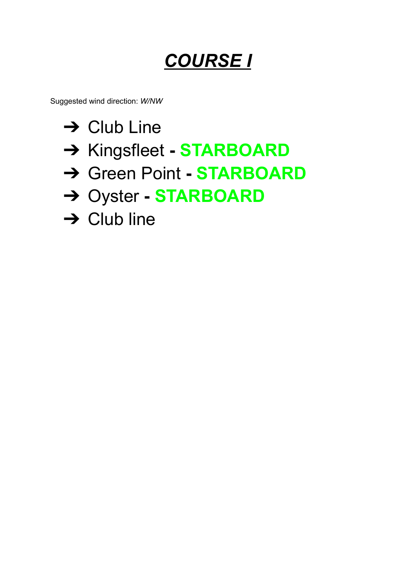## *COURSE I*

Suggested wind direction: *W/NW*

- $\rightarrow$  Club Line
- ➔ Kingsfleet **- STARBOARD**
- ➔ Green Point **- STARBOARD**
- ➔ Oyster **- STARBOARD**
- $\rightarrow$  Club line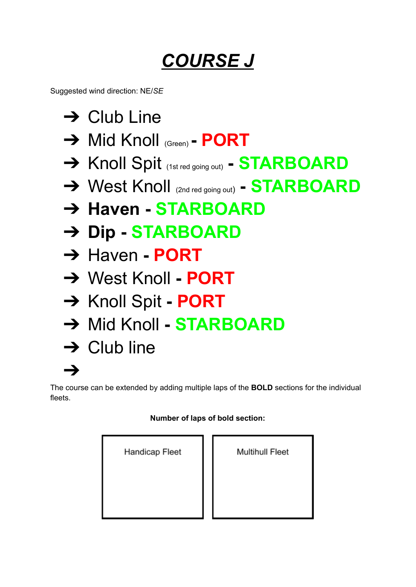## *COURSE J*

Suggested wind direction: NE/*SE*

- $\rightarrow$  Club Line
- ➔ Mid Knoll (Green) **- PORT**
- ➔ Knoll Spit (1st red going out) **- STARBOARD**
- ➔ West Knoll (2nd red going out) **- STARBOARD**
- ➔ **Haven - STARBOARD**
- ➔ **Dip - STARBOARD**
- ➔ Haven **- PORT**
- ➔ West Knoll **- PORT**
- ➔ Knoll Spit **- PORT**
- ➔ Mid Knoll **- STARBOARD**
- $\rightarrow$  Club line

➔

The course can be extended by adding multiple laps of the **BOLD** sections for the individual fleets.

#### **Number of laps of bold section:**

**Multihull Fleet** 

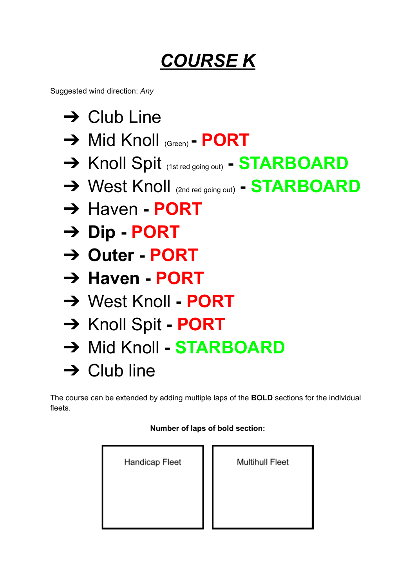## *COURSE K*

Suggested wind direction: *Any*

- $\rightarrow$  Club Line
- ➔ Mid Knoll (Green) **- PORT**
- ➔ Knoll Spit (1st red going out) **- STARBOARD**
- ➔ West Knoll (2nd red going out) **- STARBOARD**
- ➔ Haven **- PORT**
- ➔ **Dip - PORT**
- ➔ **Outer - PORT**
- ➔ **Haven - PORT**
- ➔ West Knoll **- PORT**
- ➔ Knoll Spit **- PORT**
- ➔ Mid Knoll **- STARBOARD**
- $\rightarrow$  Club line

The course can be extended by adding multiple laps of the **BOLD** sections for the individual fleets.

| Handicap Fleet | Multihull Fleet |
|----------------|-----------------|
|                |                 |
|                |                 |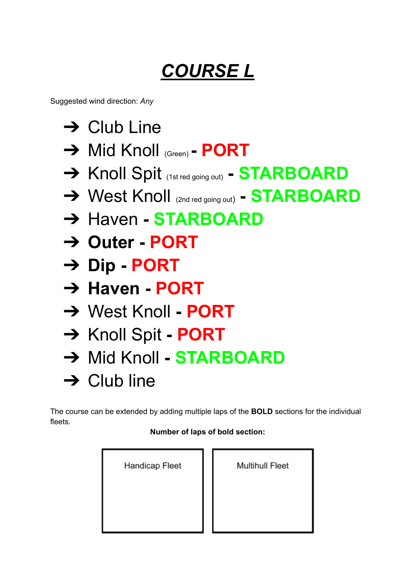# *COURSE L*

Suggested wind direction: *Any*

 $\rightarrow$  Club Line ➔ Mid Knoll (Green) **- PORT** ➔ Knoll Spit (1st red going out) **- STARBOARD** ➔ West Knoll (2nd red going out) **- STARBOARD** ➔ Haven **- STARBOARD** ➔ **Outer - PORT** ➔ **Dip - PORT** ➔ **Haven - PORT** ➔ West Knoll **- PORT** ➔ Knoll Spit **- PORT** ➔ Mid Knoll **- STARBOARD**  $\rightarrow$  Club line

The course can be extended by adding multiple laps of the **BOLD** sections for the individual fleets.

| Handicap Fleet | Multihull Fleet |
|----------------|-----------------|
|                |                 |
|                |                 |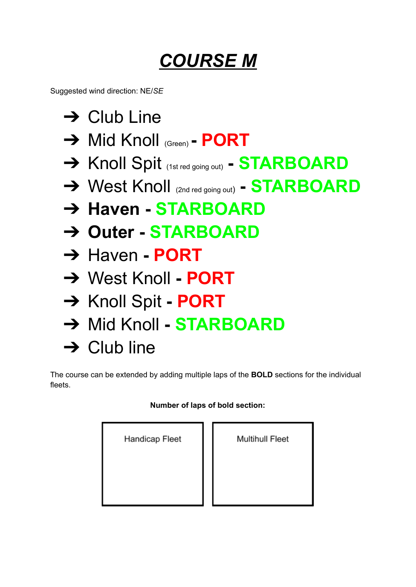## *COURSE M*

Suggested wind direction: NE/*SE*

- $\rightarrow$  Club Line
- ➔ Mid Knoll (Green) **- PORT**
- ➔ Knoll Spit (1st red going out) **- STARBOARD**
- ➔ West Knoll (2nd red going out) **- STARBOARD**
- ➔ **Haven - STARBOARD**
- ➔ **Outer - STARBOARD**
- ➔ Haven **- PORT**
- ➔ West Knoll **- PORT**
- ➔ Knoll Spit **- PORT**
- ➔ Mid Knoll **- STARBOARD**
- $\rightarrow$  Club line

The course can be extended by adding multiple laps of the **BOLD** sections for the individual fleets.

#### **Number of laps of bold section:**

| Handicap Fleet |  |  |  |  |
|----------------|--|--|--|--|
|                |  |  |  |  |
|                |  |  |  |  |

**Multihull Fleet**